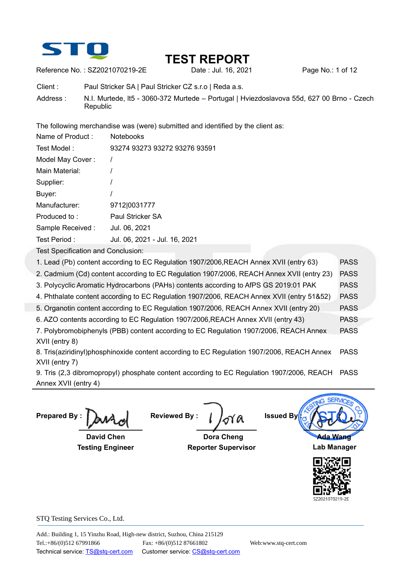

Reference No. : SZ2021070219-2E Date : Jul. 16, 2021 Page No.: 1 of 12

Client : Paul Stricker SA | Paul Stricker CZ s.r.o | Reda a.s. Address : N.I. Murtede, lt5 - 3060-372 Murtede – Portugal | Hviezdoslavova 55d, 627 00 Brno - Czech Republic

The following merchandise was (were) submitted and identified by the client as:

| Name of Product: | <b>Notebooks</b>              |
|------------------|-------------------------------|
| Test Model :     | 93274 93273 93272 93276 93591 |
| Model May Cover: |                               |
| Main Material:   |                               |
| Supplier:        |                               |
| Buyer:           |                               |
| Manufacturer:    | 9712 0031777                  |
| Produced to:     | Paul Stricker SA              |
| Sample Received: | Jul. 06, 2021                 |
| Test Period:     | Jul. 06, 2021 - Jul. 16, 2021 |
|                  |                               |

Test Specification and Conclusion:

- 1. Lead (Pb) content according to EC Regulation 1907/2006,REACH Annex XVII (entry 63) PASS 2. Cadmium (Cd) content according to EC Regulation 1907/2006, REACH Annex XVII (entry 23) PASS 3. Polycyclic Aromatic Hydrocarbons (PAHs) contents according to AfPS GS 2019:01 PAK PASS 4. Phthalate content according to EC Regulation 1907/2006, REACH Annex XVII (entry 51&52) PASS
- 5. Organotin content according to EC Regulation 1907/2006, REACH Annex XVII (entry 20) PASS
- 6. AZO contents according to EC Regulation 1907/2006,REACH Annex XVII (entry 43) PASS

7. Polybromobiphenyls (PBB) content according to EC Regulation 1907/2006, REACH Annex XVII (entry 8) PASS

8. Tris(aziridinyl)phosphinoxide content according to EC Regulation 1907/2006, REACH Annex XVII (entry 7) PASS

9. Tris (2,3 dibromopropyl) phosphate content according to EC Regulation 1907/2006, REACH PASS Annex XVII (entry 4)

**Prepared By :** 

 **David Chen Testing Engineer** 

**Reviewed By :** 

 **Dora Cheng Reporter Supervisor**

**Issued By Ada Wang** 

**Lab Manager** 

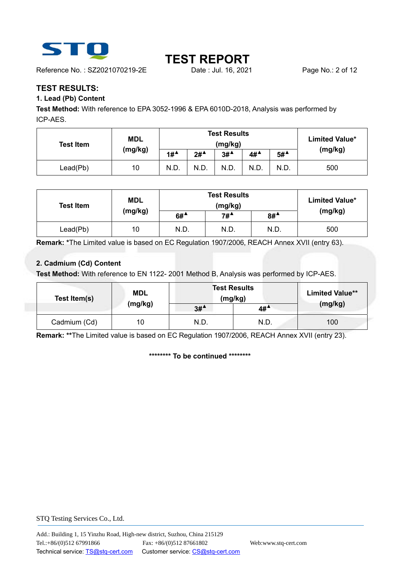

Reference No.: SZ2021070219-2E Date : Jul. 16, 2021 Page No.: 2 of 12

# **TEST REPORT**

## **TEST RESULTS:**

### **1. Lead (Pb) Content**

**Test Method:** With reference to EPA 3052-1996 & EPA 6010D-2018, Analysis was performed by ICP-AES.

| <b>Test Item</b> | MDL     | <b>Test Results</b><br>(mg/kg)         |        |        |                                         |        | <b>Limited Value*</b> |
|------------------|---------|----------------------------------------|--------|--------|-----------------------------------------|--------|-----------------------|
|                  | (mg/kg) | $1#$ <sup><math>\triangle</math></sup> | $2#^4$ | $3#^4$ | $4\#$ <sup><math>\triangle</math></sup> | $5#^4$ | (mg/kg)               |
| Lead(Pb)         | 10      | N.D.                                   | N.D.   | N.D.   | N.D.                                    | N.D.   | 500                   |

| <b>Test Item</b> | <b>MDL</b> |                                        | <b>Limited Value*</b> |                       |         |
|------------------|------------|----------------------------------------|-----------------------|-----------------------|---------|
|                  | (mg/kg)    | $6#$ <sup><math>\triangle</math></sup> | $7#^4$                | $8#^{\blacktriangle}$ | (mg/kg) |
| Lead(Pb)         | 10         | N.D.                                   | N.D.                  | N.D.                  | 500     |

**Remark: \***The Limited value is based on EC Regulation 1907/2006, REACH Annex XVII (entry 63).

### **2. Cadmium (Cd) Content**

**Test Method:** With reference to EN 1122- 2001 Method B, Analysis was performed by ICP-AES.

| Test Item(s) | <b>MDL</b> | <b>Test Results</b><br>(mg/kg) |                                         | <b>Limited Value**</b> |
|--------------|------------|--------------------------------|-----------------------------------------|------------------------|
|              | (mg/kg)    | $3#^4$                         | $4\#$ <sup><math>\triangle</math></sup> | (mg/kg)                |
| Cadmium (Cd) | 10         | N.D.                           | N.D.                                    | 100                    |

**Remark: \*\***The Limited value is based on EC Regulation 1907/2006, REACH Annex XVII (entry 23).

**\*\*\*\*\*\*\*\* To be continued \*\*\*\*\*\*\*\***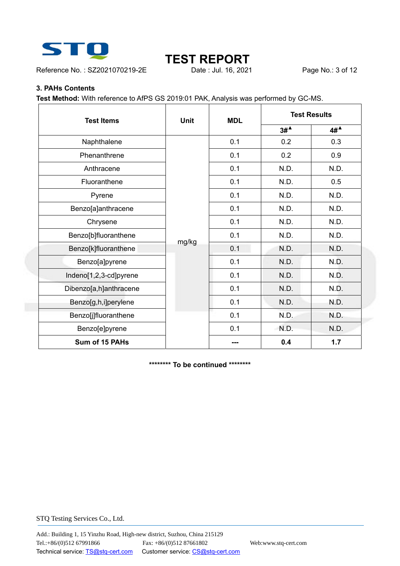

Reference No.: SZ2021070219-2E Date : Jul. 16, 2021 Page No.: 3 of 12

# **TEST REPORT**<br>
Date : Jul. 16, 2021

### **3. PAHs Contents**

**Test Method:** With reference to AfPS GS 2019:01 PAK, Analysis was performed by GC-MS.

| <b>Test Items</b>      | <b>Unit</b> | <b>MDL</b> | <b>Test Results</b> |                   |
|------------------------|-------------|------------|---------------------|-------------------|
|                        |             |            | $3#^4$              | $4H^{\mathbf{A}}$ |
| Naphthalene            |             | 0.1        | 0.2                 | 0.3               |
| Phenanthrene           |             | 0.1        | 0.2                 | 0.9               |
| Anthracene             |             | 0.1        | N.D.                | N.D.              |
| Fluoranthene           |             | 0.1        | N.D.                | 0.5               |
| Pyrene                 |             | 0.1        | N.D.                | N.D.              |
| Benzo[a]anthracene     |             | 0.1        | N.D.                | N.D.              |
| Chrysene               |             | 0.1        | N.D.                | N.D.              |
| Benzo[b]fluoranthene   |             | 0.1        | N.D.                | N.D.              |
| Benzo[k]fluoranthene   | mg/kg       | 0.1        | N.D.                | N.D.              |
| Benzo[a]pyrene         |             | 0.1        | N.D.                | N.D.              |
| Indeno[1,2,3-cd]pyrene |             | 0.1        | N.D.                | N.D.              |
| Dibenzo[a,h]anthracene |             | 0.1        | N.D.                | N.D.              |
| Benzo[g,h,i]perylene   |             | 0.1        | N.D.                | N.D.              |
| Benzo[j]fluoranthene   |             | 0.1        | N.D.                | N.D.              |
| Benzo[e]pyrene         |             | 0.1        | N.D.                | N.D.              |
| Sum of 15 PAHs         |             |            | 0.4                 | 1.7               |

**\*\*\*\*\*\*\*\* To be continued \*\*\*\*\*\*\*\***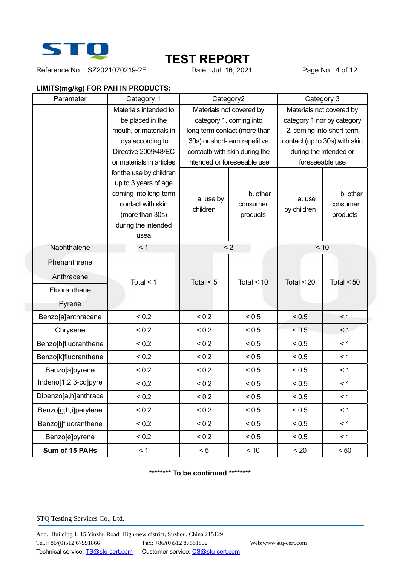

Reference No.: SZ2021070219-2E Date : Jul. 16, 2021 Page No.: 4 of 12

# **TEST REPORT**<br>
Date : Jul. 16, 2021

### **LIMITS(mg/kg) FOR PAH IN PRODUCTS:**

| Parameter            | Category 1                                                                                                                                      |                          | Category2                        | Category 3            |                                  |
|----------------------|-------------------------------------------------------------------------------------------------------------------------------------------------|--------------------------|----------------------------------|-----------------------|----------------------------------|
|                      | Materials intended to                                                                                                                           | Materials not covered by |                                  |                       | Materials not covered by         |
|                      | be placed in the                                                                                                                                |                          | category 1, coming into          |                       | category 1 nor by category       |
|                      | mouth, or materials in                                                                                                                          |                          | long-term contact (more than     |                       | 2, coming into short-term        |
|                      | toys according to                                                                                                                               |                          | 30s) or short-term repetitive    |                       | contact (up to 30s) with skin    |
|                      | Directive 2009/48/EC                                                                                                                            |                          | contactb with skin during the    |                       | during the intended or           |
|                      | or materials in articles                                                                                                                        |                          | intended or foreseeable use      |                       | foreseeable use                  |
|                      | for the use by children<br>up to 3 years of age<br>coming into long-term<br>contact with skin<br>(more than 30s)<br>during the intended<br>usea | a. use by<br>children    | b. other<br>consumer<br>products | a. use<br>by children | b. other<br>consumer<br>products |
| Naphthalene          | < 1                                                                                                                                             |                          | < 2                              | < 10                  |                                  |
| Phenanthrene         |                                                                                                                                                 |                          |                                  |                       |                                  |
| Anthracene           | Total $<$ 1                                                                                                                                     | Total $<$ 5              | Total $<$ 10                     | Total $<$ 20          | Total $< 50$                     |
| Fluoranthene         |                                                                                                                                                 |                          |                                  |                       |                                  |
| Pyrene               |                                                                                                                                                 |                          |                                  |                       |                                  |
| Benzo[a]anthracene   | < 0.2                                                                                                                                           | ${}_{0.2}$               | < 0.5                            | < 0.5                 | < 1                              |
| Chrysene             | < 0.2                                                                                                                                           | < 0.2                    | < 0.5                            | < 0.5                 | < 1                              |
| Benzo[b]fluoranthene | < 0.2                                                                                                                                           | < 0.2                    | ${}_{< 0.5}$                     | < 0.5                 | < 1                              |
| Benzo[k]fluoranthene | < 0.2                                                                                                                                           | < 0.2                    | < 0.5                            | < 0.5                 | < 1                              |
| Benzo[a]pyrene       | < 0.2                                                                                                                                           | < 0.2                    | < 0.5                            | < 0.5                 | < 1                              |
| Indeno[1,2,3-cd]pyre | < 0.2                                                                                                                                           | < 0.2                    | < 0.5                            | < 0.5                 | < 1                              |
| Dibenzo[a,h]anthrace | < 0.2                                                                                                                                           | < 0.2                    | < 0.5                            | < 0.5                 | < 1                              |
| Benzo[g,h,i]perylene | < 0.2                                                                                                                                           | < 0.2                    | < 0.5                            | < 0.5                 | < 1                              |
| Benzo[j]fluoranthene | < 0.2                                                                                                                                           | < 0.2                    | < 0.5                            | < 0.5                 | < 1                              |
| Benzo[e]pyrene       | ${}_{0.2}$                                                                                                                                      | < 0.2                    | < 0.5                            | < 0.5                 | < 1                              |
| Sum of 15 PAHs       | < 1                                                                                                                                             | < 5                      | < 10                             | < 20                  | $<50$                            |

### **\*\*\*\*\*\*\*\* To be continued \*\*\*\*\*\*\*\***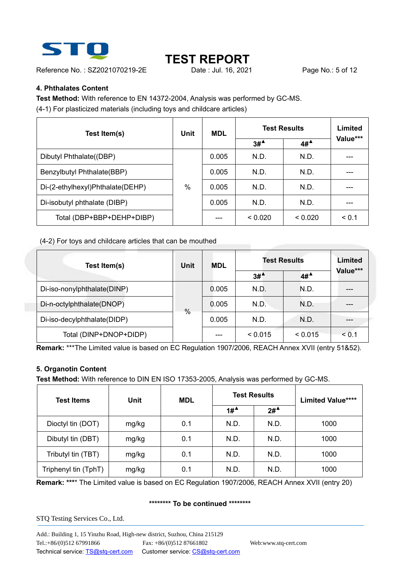

Reference No.: SZ2021070219-2E Date : Jul. 16, 2021 Page No.: 5 of 12

# **TEST REPORT**

### **4. Phthalates Content**

**Test Method:** With reference to EN 14372-2004, Analysis was performed by GC-MS. (4-1) For plasticized materials (including toys and childcare articles)

| Test Item(s)                     | Unit | <b>MDL</b> | <b>Test Results</b>   | Limited |          |
|----------------------------------|------|------------|-----------------------|---------|----------|
|                                  |      |            | $3#^{\blacktriangle}$ | $4#^4$  | Value*** |
| Dibutyl Phthalate((DBP)          |      | 0.005      | N.D.                  | N.D.    |          |
| Benzylbutyl Phthalate(BBP)       |      | 0.005      | N.D.                  | N.D.    |          |
| Di-(2-ethylhexyl)Phthalate(DEHP) | $\%$ | 0.005      | N.D.                  | N.D.    |          |
| Di-isobutyl phthalate (DIBP)     |      | 0.005      | N.D.                  | N.D.    |          |
| Total (DBP+BBP+DEHP+DIBP)        |      |            | < 0.020               | < 0.020 | < 0.1    |

(4-2) For toys and childcare articles that can be mouthed

| Test Item(s)                | <b>Unit</b> | <b>MDL</b> | <b>Test Results</b>                    | Limited |          |
|-----------------------------|-------------|------------|----------------------------------------|---------|----------|
|                             |             |            | $3#$ <sup><math>\triangle</math></sup> | 4#      | Value*** |
| Di-iso-nonylphthalate(DINP) |             | 0.005      | N.D.                                   | N.D.    |          |
| Di-n-octylphthalate(DNOP)   |             | 0.005      | N.D.                                   | N.D.    |          |
| Di-iso-decylphthalate(DIDP) | %           | 0.005      | N.D.                                   | N.D.    | ---      |
| Total (DINP+DNOP+DIDP)      |             |            | < 0.015                                | < 0.015 | < 0.1    |

**Remark:** \*\*\*The Limited value is based on EC Regulation 1907/2006, REACH Annex XVII (entry 51&52).

### **5. Organotin Content**

**Test Method:** With reference to DIN EN ISO 17353-2005, Analysis was performed by GC-MS.

| <b>Test Items</b>    | <b>Unit</b> | <b>MDL</b> | <b>Test Results</b> |        | <b>Limited Value****</b> |  |
|----------------------|-------------|------------|---------------------|--------|--------------------------|--|
|                      |             |            | $1#^4$              | $2#^4$ |                          |  |
| Dioctyl tin (DOT)    | mg/kg       | 0.1        | N.D.                | N.D.   | 1000                     |  |
| Dibutyl tin (DBT)    | mg/kg       | 0.1        | N.D.                | N.D.   | 1000                     |  |
| Tributyl tin (TBT)   | mg/kg       | 0.1        | N.D.                | N.D.   | 1000                     |  |
| Triphenyl tin (TphT) | mg/kg       | 0.1        | N.D.                | N.D.   | 1000                     |  |

**Remark: \*\*\***\* The Limited value is based on EC Regulation 1907/2006, REACH Annex XVII (entry 20)

### **\*\*\*\*\*\*\*\* To be continued \*\*\*\*\*\*\*\***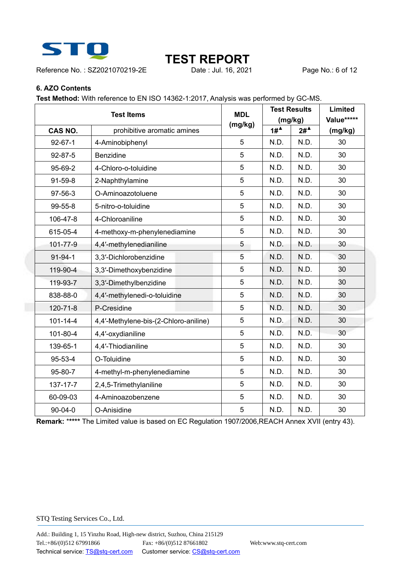

Reference No.: SZ2021070219-2E Date : Jul. 16, 2021 Page No.: 6 of 12

# **TEST REPORT**<br>
Date : Jul. 16, 2021

### **6. AZO Contents**

**Test Method:** With reference to EN ISO 14362-1:2017, Analysis was performed by GC-MS.

| <b>Test Items</b> |                                       | <b>MDL</b> |                       | <b>Test Results</b>                     | Limited    |
|-------------------|---------------------------------------|------------|-----------------------|-----------------------------------------|------------|
|                   |                                       | (mg/kg)    |                       | (mg/kg)                                 | Value***** |
| CAS NO.           | prohibitive aromatic amines           |            | $1#^{\blacktriangle}$ | $2\#$ <sup><math>\triangle</math></sup> | (mg/kg)    |
| $92 - 67 - 1$     | 4-Aminobiphenyl                       | 5          | N.D.                  | N.D.                                    | 30         |
| 92-87-5           | <b>Benzidine</b>                      | 5          | N.D.                  | N.D.                                    | 30         |
| 95-69-2           | 4-Chloro-o-toluidine                  | 5          | N.D.                  | N.D.                                    | 30         |
| $91 - 59 - 8$     | 2-Naphthylamine                       | 5          | N.D.                  | N.D.                                    | 30         |
| 97-56-3           | O-Aminoazotoluene                     | 5          | N.D.                  | N.D.                                    | 30         |
| 99-55-8           | 5-nitro-o-toluidine                   | 5          | N.D.                  | N.D.                                    | 30         |
| 106-47-8          | 4-Chloroaniline                       | 5          | N.D.                  | N.D.                                    | 30         |
| 615-05-4          | 4-methoxy-m-phenylenediamine          | 5          | N.D.                  | N.D.                                    | 30         |
| 101-77-9          | 4,4'-methylenedianiline               | 5          | N.D.                  | N.D.                                    | 30         |
| $91 - 94 - 1$     | 3,3'-Dichlorobenzidine                | 5          | N.D.                  | N.D.                                    | 30         |
| 119-90-4          | 3,3'-Dimethoxybenzidine               | 5          | N.D.                  | N.D.                                    | 30         |
| 119-93-7          | 3,3'-Dimethylbenzidine                | 5          | N.D.                  | N.D.                                    | 30         |
| 838-88-0          | 4,4'-methylenedi-o-toluidine          | 5          | N.D.                  | N.D.                                    | 30         |
| 120-71-8          | P-Cresidine                           | 5          | N.D.                  | N.D.                                    | 30         |
| $101 - 14 - 4$    | 4,4'-Methylene-bis-(2-Chloro-aniline) | 5          | N.D.                  | N.D.                                    | 30         |
| 101-80-4          | 4,4'-oxydianiline                     | 5          | N.D.                  | N.D.                                    | 30         |
| 139-65-1          | 4,4'-Thiodianiline                    | 5          | N.D.                  | N.D.                                    | 30         |
| $95 - 53 - 4$     | O-Toluidine                           | 5          | N.D.                  | N.D.                                    | 30         |
| 95-80-7           | 4-methyl-m-phenylenediamine           | 5          | N.D.                  | N.D.                                    | 30         |
| 137-17-7          | 2,4,5-Trimethylaniline                | 5          | N.D.                  | N.D.                                    | 30         |
| 60-09-03          | 4-Aminoazobenzene                     | 5          | N.D.                  | N.D.                                    | 30         |
| $90 - 04 - 0$     | O-Anisidine                           | 5          | N.D.                  | N.D.                                    | 30         |

**Remark:** \***\*\*\*\*** The Limited value is based on EC Regulation 1907/2006,REACH Annex XVII (entry 43).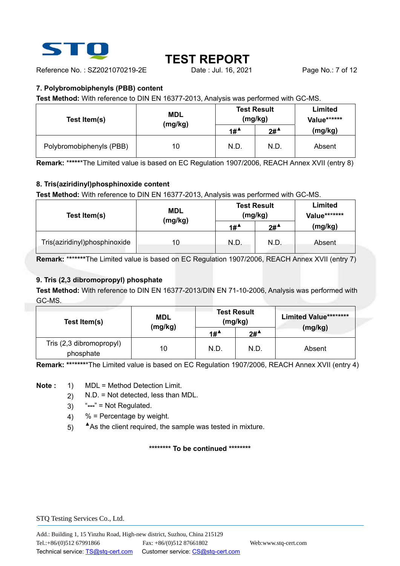

Reference No. : SZ2021070219-2E Date : Jul. 16, 2021 Page No.: 7 of 12

### **7. Polybromobiphenyls (PBB) content**

**Test Method:** With reference to DIN EN 16377-2013, Analysis was performed with GC-MS.

| Test Item(s)             | <b>MDL</b><br>(mg/kg) | <b>Test Result</b>                     | (mg/kg) | <b>Limited</b><br>Value****** |
|--------------------------|-----------------------|----------------------------------------|---------|-------------------------------|
|                          |                       | $1#$ <sup><math>\triangle</math></sup> | $2#^4$  | (mg/kg)                       |
| Polybromobiphenyls (PBB) | 10                    | N.D.                                   | N.D.    | Absent                        |

**Remark:** \***\*\*\*\***\*The Limited value is based on EC Regulation 1907/2006, REACH Annex XVII (entry 8)

### **8. Tris(aziridinyl)phosphinoxide content**

**Test Method:** With reference to DIN EN 16377-2013, Analysis was performed with GC-MS.

| Test Item(s)                  | <b>MDL</b><br>(mg/kg) |                       | <b>Test Result</b><br>(mg/kg) | Limited<br>Value******* |
|-------------------------------|-----------------------|-----------------------|-------------------------------|-------------------------|
|                               |                       | $1#^{\blacktriangle}$ | $2#^4$                        | (mg/kg)                 |
| Tris(aziridinyl)phosphinoxide | 10 <sup>°</sup>       | N.D.                  | N.D.                          | Absent                  |

**Remark:** \***\***\***\*\*\*\***The Limited value is based on EC Regulation 1907/2006, REACH Annex XVII (entry 7)

### **9. Tris (2,3 dibromopropyl) phosphate**

**Test Method:** With reference to DIN EN 16377-2013/DIN EN 71-10-2006, Analysis was performed with GC-MS.

| Test Item(s)                          | <b>MDL</b><br>(mg/kg) | <b>Test Result</b><br>(mg/kg)          |                       | <b>Limited Value********</b> |
|---------------------------------------|-----------------------|----------------------------------------|-----------------------|------------------------------|
|                                       |                       | $1#$ <sup><math>\triangle</math></sup> | $2#^{\blacktriangle}$ | (mg/kg)                      |
| Tris (2,3 dibromopropyl)<br>phosphate | 10                    | N.D.                                   | N.D.                  | Absent                       |

**Remark: \*\***\***\*\*\*\***\*The Limited value is based on EC Regulation 1907/2006, REACH Annex XVII (entry 4)

**Note :** 1) MDL = Method Detection Limit.

- 2) N.D. = Not detected, less than MDL.
- 3) "**---**" = Not Regulated.
- 4)  $%$  = Percentage by weight.
- 5) **▲**As the client required, the sample was tested in mixture.

#### **\*\*\*\*\*\*\*\* To be continued \*\*\*\*\*\*\*\***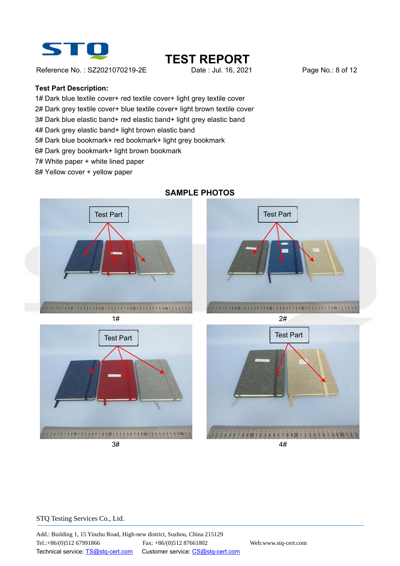

Reference No. : SZ2021070219-2E Date : Jul. 16, 2021 Page No.: 8 of 12

# **TEST REPORT**<br>
Date : Jul. 16, 2021

#### **Test Part Description:**

1# Dark blue textile cover+ red textile cover+ light grey textile cover

2# Dark grey textile cover+ blue textile cover+ light brown textile cover

3# Dark blue elastic band+ red elastic band+ light grey elastic band

4# Dark grey elastic band+ light brown elastic band

5# Dark blue bookmark+ red bookmark+ light grey bookmark

6# Dark grey bookmark+ light brown bookmark

7# White paper + white lined paper

8# Yellow cover + yellow paper



## **SAMPLE PHOTOS**

#### STQ Testing Services Co., Ltd.

Add.: Building 1, 15 Yinzhu Road, High-new district, Suzhou, China 215129 Tel.:+86/(0)512 67991866 Fax: +86/(0)512 87661802 Web:www.stq-cert.com Technical service: TS@stq-cert.com Customer service: CS@stq-cert.com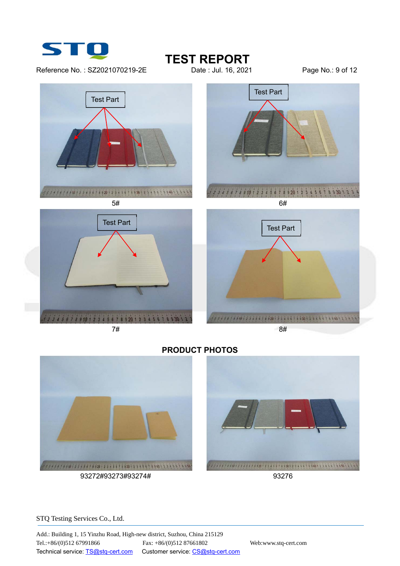

Reference No.: SZ2021070219-2E Date : Jul. 16, 2021 Page No.: 9 of 12

**TEST REPORT**<br>
Date : Jul. 16, 2021





## **PRODUCT PHOTOS**

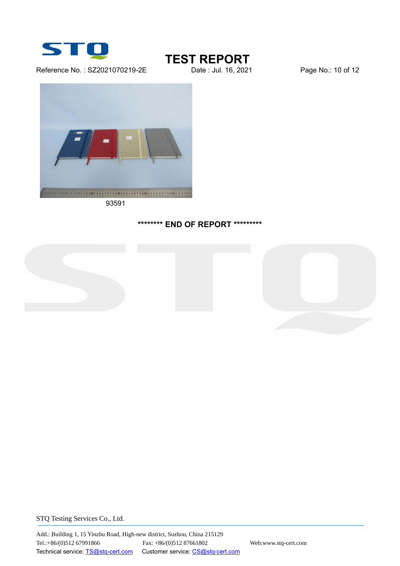

Reference No.: SZ2021070219-2E Date : Jul. 16, 2021 Page No.: 10 of 12

**TEST REPORT**<br>Date : Jul. 16, 2021



93591

### **\*\*\*\*\*\*\*\* END OF REPORT \*\*\*\*\*\*\*\*\***



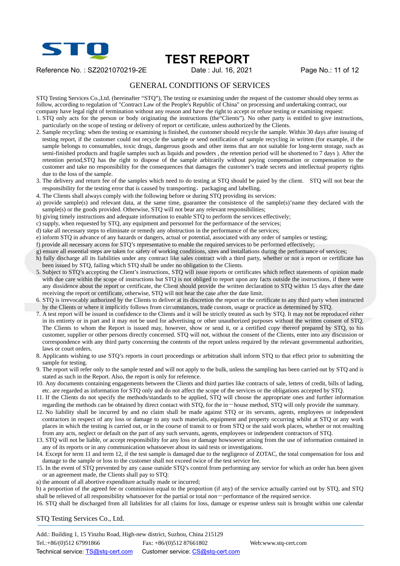

Reference No.: SZ2021070219-2E Date : Jul. 16, 2021 Page No.: 11 of 12

### GENERAL CONDITIONS OF SERVICES

STQ Testing Services Co.,Ltd. (hereinafter "STQ"), The testing or examining under the request of the customer should obey terms as follow, according to regulation of "Contract Law of the People's Republic of China" on processing and undertaking contract, our company have legal right of termination without any reason and have the right to accept or refuse testing or examining request:

- 1. STQ only acts for the person or body originating the instructions (the"Clients"). No other party is entitled to give instructions, particularly on the scope of testing or delivery of report or certificate, unless authorized by the Clients.
- 2. Sample recycling: when the testing or examining is finished, the customer should recycle the sample. Within 30 days after issuing of testing report, if the customer could not recycle the sample or send notification of sample recycling in written (for example, if the sample belongs to consumables, toxic drugs, dangerous goods and other items that are not suitable for long-term storage, such as semi-finished products and fragile samples such as liquids and powders , the retention period will be shortened to 7 days ). After the retention period,STQ has the right to dispose of the sample arbitrarily without paying compensation or compensation to the customer and take no responsibility for the consequences that damages the customer's trade secrets and intellectual property rights due to the loss of the sample.
- 3. The delivery and return fee of the samples which need to do testing at STQ should be paied by the client. STQ will not bear the responsibility for the testing error that is caused by transporting, packaging and labelling.
- 4. The Clients shall always comply with the following before or during STQ providing its services:
- a) provide sample(s) and relevant data, at the same time, guarantee the consistence of the sample(s)'name they declared with the  $sample(s)$  or the goods provided. Otherwise, STO will not bear any relevant responsibilities;
- b) giving timely instructions and adequate information to enable STQ to perform the services effectively;
- c) supply, when requested by STQ, any equipment and personnel for the performance of the services;
- d) take all necessary steps to eliminate or remedy any obstruction in the performance of the services;
- e) inform STQ in advance of any hazards or dangers, actual or potential, associated with any order of samples or testing;
- f) provide all necessary access for STQ's representative to enable the required services to be performed effectively;
- g) ensure all essential steps are taken for safety of working conditions, sites and installations during the performance of services;
- h) fully discharge all its liabilities under any contract like sales contract with a third party, whether or not a report or certificate has been issued by STQ, failing which STQ shall be under no obligation to the Clients.
- 5. Subject to STQ's accepting the Client's instructions, STQ will issue reports or certificates which reflect statements of opinion made with due care within the scope of instructions but STQ is not obliged to report upon any facts outside the instructions, if there were any dissidence about the report or certificate, the Client should provide the written declaration to STQ within 15 days after the date receiving the report or certificate, otherwise, STQ will not hear the case after the date limit.
- 6. STQ is irrevocably authorized by the Clients to deliver at its discretion the report or the certificate to any third party when instructed by the Clients or where it implicitly follows from circumstances, trade custom, usage or practice as determined by STQ.
- 7. A test report will be issued in confidence to the Clients and it will be strictly treated as such by STQ. It may not be reproduced either in its entirety or in part and it may not be used for advertising or other unauthorized purposes without the written consent of STQ. The Clients to whom the Report is issued may, however, show or send it, or a certified copy thereof prepared by STQ, to his customer, supplier or other persons directly concerned. STQ will not, without the consent of the Clients, enter into any discussion or correspondence with any third party concerning the contents of the report unless required by the relevant governmental authorities, laws or court orders.
- 8. Applicants wishing to use STQ's reports in court proceedings or arbitration shall inform STQ to that effect prior to submitting the sample for testing.
- 9. The report will refer only to the sample tested and will not apply to the bulk, unless the sampling has been carried out by STQ and is stated as such in the Report. Also, the report is only for reference.
- 10. Any documents containing engagements between the Clients and third parties like contracts of sale, letters of credit, bills of lading, etc. are regarded as information for STQ only and do not affect the scope of the services or the obligations accepted by STQ.
- 11. If the Clients do not specify the methods/standards to be applied, STQ will choose the appropriate ones and further information regarding the methods can be obtained by direct contact with STQ, for the in-house method, STQ will only provide the summary.
- 12. No liability shall be incurred by and no claim shall be made against STQ or its servants, agents, employees or independent contractors in respect of any loss or damage to any such materials, equipment and property occurring whilst at STQ or any work places in which the testing is carried out, or in the course of transit to or from STQ or the said work places, whether or not resulting from any acts, neglect or default on the part of any such servants, agents, employees or independent contractors of STQ.
- 13. STQ will not be liable, or accept responsibility for any loss or damage howsoever arising from the use of information contained in any of its reports or in any communication whatsoever about its said tests or investigations.
- 14. Except for term 11 and term 12, if the test sample is damaged due to the negligence of ZOTAC, the total compensation for loss and damage to the sample or loss to the customer shall not exceed twice of the test service fee.
- 15. In the event of STQ prevented by any cause outside STQ's control from performing any service for which an order has been given or an agreement made, the Clients shall pay to STQ:
- a) the amount of all abortive expenditure actually made or incurred;

b) a proportion of the agreed fee or commission equal to the proportion (if any) of the service actually carried out by STQ, and STQ shall be relieved of all responsibility whatsoever for the partial or total non-performance of the required service.

16. STQ shall be discharged from all liabilities for all claims for loss, damage or expense unless suit is brought within one calendar

STQ Testing Services Co., Ltd.

Add.: Building 1, 15 Yinzhu Road, High-new district, Suzhou, China 215129 Tel.:+86/(0)512 67991866 Fax: +86/(0)512 87661802 Web:www.stq-cert.com Technical service: TS@stq-cert.com Customer service: CS@stq-cert.com